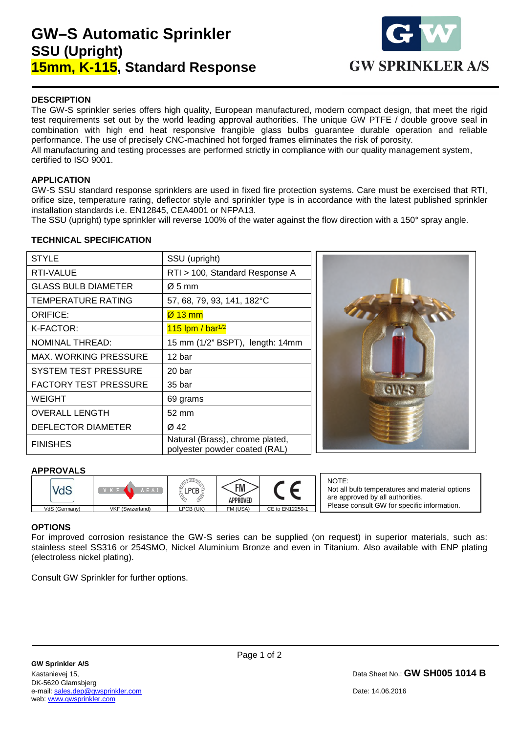# **GW–S Automatic Sprinkler SSU (Upright) 15mm, K-115, Standard Response**



### **DESCRIPTION**

The GW-S sprinkler series offers high quality, European manufactured, modern compact design, that meet the rigid test requirements set out by the world leading approval authorities. The unique GW PTFE / double groove seal in combination with high end heat responsive frangible glass bulbs guarantee durable operation and reliable performance. The use of precisely CNC-machined hot forged frames eliminates the risk of porosity. All manufacturing and testing processes are performed strictly in compliance with our quality management system, certified to ISO 9001.

### **APPLICATION**

GW-S SSU standard response sprinklers are used in fixed fire protection systems. Care must be exercised that RTI, orifice size, temperature rating, deflector style and sprinkler type is in accordance with the latest published sprinkler installation standards i.e. EN12845, CEA4001 or NFPA13.

The SSU (upright) type sprinkler will reverse 100% of the water against the flow direction with a 150° spray angle.

### **TECHNICAL SPECIFICATION**

| <b>STYLE</b>                 | SSU (upright)                                                    |  |  |
|------------------------------|------------------------------------------------------------------|--|--|
| RTI-VALUE                    | RTI > 100, Standard Response A                                   |  |  |
| <b>GLASS BULB DIAMETER</b>   | $\varnothing$ 5 mm                                               |  |  |
| TEMPERATURE RATING           | 57, 68, 79, 93, 141, 182°C                                       |  |  |
| ORIFICE:                     | $Ø$ 13 mm                                                        |  |  |
| K-FACTOR:                    | $115$ lpm / bar <sup>1/2</sup>                                   |  |  |
| <b>NOMINAL THREAD:</b>       | 15 mm (1/2" BSPT), length: 14mm                                  |  |  |
| MAX. WORKING PRESSURE        | 12 bar                                                           |  |  |
| <b>SYSTEM TEST PRESSURE</b>  | 20 bar                                                           |  |  |
| <b>FACTORY TEST PRESSURE</b> | 35 bar                                                           |  |  |
| WEIGHT                       | 69 grams                                                         |  |  |
| <b>OVERALL LENGTH</b>        | 52 mm                                                            |  |  |
| DEFLECTOR DIAMETER           | Ø 42                                                             |  |  |
| <b>FINISHES</b>              | Natural (Brass), chrome plated,<br>polyester powder coated (RAL) |  |  |



### **APPROVALS**

|               | AEAL             |           | FM<br>APPROVED |                 |
|---------------|------------------|-----------|----------------|-----------------|
| VdS (Germany) | VKF (Swizerland) | LPCB (UK) | FM (USA)       | CE to EN12259-1 |

NOTE: Not all bulb temperatures and material options are approved by all authorities. Please consult GW for specific information.

### **OPTIONS**

1

For improved corrosion resistance the GW-S series can be supplied (on request) in superior materials, such as: stainless steel SS316 or 254SMO, Nickel Aluminium Bronze and even in Titanium. Also available with ENP plating (electroless nickel plating).

Consult GW Sprinkler for further options.